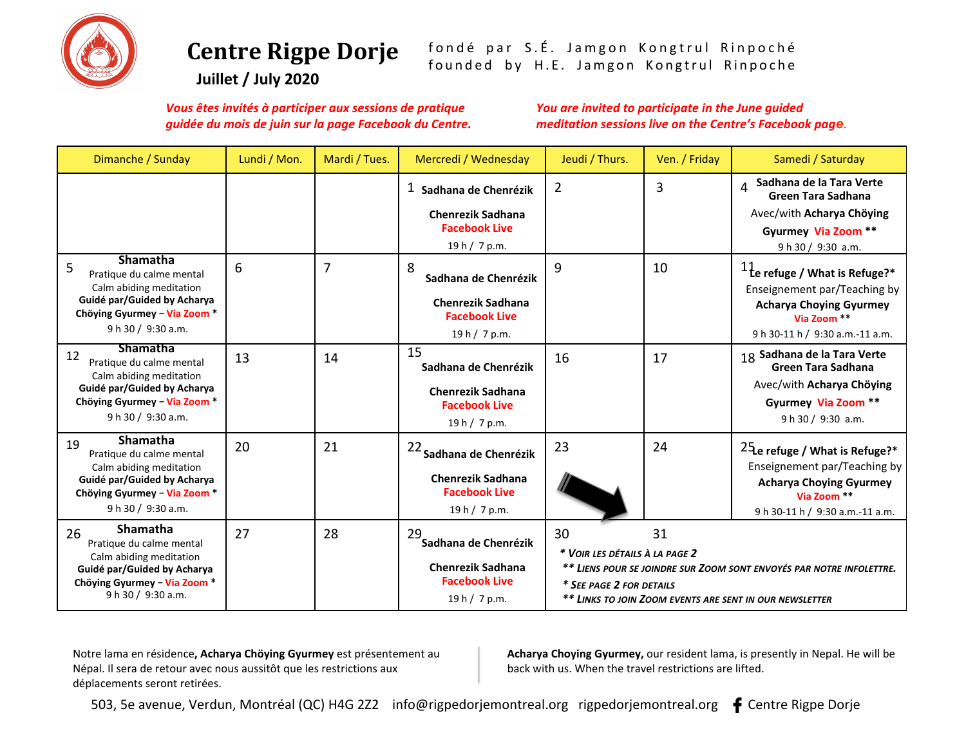

# **Centre Rigpe Dorje**

fondé par S.É. Jamgon Kongtrul Rinpoché founded by H.E. Jamgon Kongtrul Rinpoche

**Juillet / July 2020** 

*Vous êtes invités à participer aux sessions de pratique guidée du mois de juin sur la page Facebook du Centre.* 

You are invited to participate in the June guided *meditation sessions live on the Centre's Facebook page*.

| Dimanche / Sunday                                                                                                                                                 | Lundi / Mon. | Mardi / Tues. | Mercredi / Wednesday                                                                            | Jeudi / Thurs.                                                   | Ven. / Friday | Samedi / Saturday                                                                                                                                                 |
|-------------------------------------------------------------------------------------------------------------------------------------------------------------------|--------------|---------------|-------------------------------------------------------------------------------------------------|------------------------------------------------------------------|---------------|-------------------------------------------------------------------------------------------------------------------------------------------------------------------|
|                                                                                                                                                                   |              |               | $1$ Sadhana de Chenrézik<br><b>Chenrezik Sadhana</b><br><b>Facebook Live</b><br>19 h / 7 p.m.   | $\overline{2}$                                                   | 3             | Sadhana de la Tara Verte<br><b>Green Tara Sadhana</b><br>Avec/with Acharya Chöying<br>Gyurmey Via Zoom **<br>9 h 30 / 9:30 a.m.                                   |
| Shamatha<br>5<br>Pratique du calme mental<br>Calm abiding meditation<br>Guidé par/Guided by Acharya<br>Chöying Gyurmey - Via Zoom *<br>9 h 30 / 9:30 a.m.         | 6            | 7             | 8<br>Sadhana de Chenrézik<br><b>Chenrezik Sadhana</b><br><b>Facebook Live</b><br>19 h / 7 p.m.  | 9                                                                | 10            | $11$ <sub>c</sub> e refuge / What is Refuge?*<br>Enseignement par/Teaching by<br><b>Acharya Choying Gyurmey</b><br>Via Zoom **<br>9 h 30-11 h / 9:30 a.m.-11 a.m. |
| <b>Shamatha</b><br>12<br>Pratique du calme mental<br>Calm abiding meditation<br>Guidé par/Guided by Acharya<br>Chöying Gyurmey - Via Zoom *<br>9 h 30 / 9:30 a.m. | 13           | 14            | 15<br>Sadhana de Chenrézik<br><b>Chenrezik Sadhana</b><br><b>Facebook Live</b><br>19 h / 7 p.m. | 16                                                               | 17            | 18 Sadhana de la Tara Verte<br><b>Green Tara Sadhana</b><br>Avec/with Acharya Chöying<br>Gyurmey Via Zoom **<br>9 h 30 / 9:30 a.m.                                |
| Shamatha<br>19<br>Pratique du calme mental<br>Calm abiding meditation<br>Guidé par/Guided by Acharya<br>Chöying Gyurmey - Via Zoom *<br>9 h 30 / 9:30 a.m.        | 20           | 21            | 22 Sadhana de Chenrézik<br><b>Chenrezik Sadhana</b><br><b>Facebook Live</b><br>19 h / 7 p.m.    | 23                                                               | 24            | $25$ <sub>e</sub> refuge / What is Refuge?*<br>Enseignement par/Teaching by<br><b>Acharya Choying Gyurmey</b><br>Via Zoom **<br>9 h 30-11 h / 9:30 a.m.-11 a.m.   |
| <b>Shamatha</b><br>26<br>Pratique du calme mental<br>Calm abiding meditation<br>Guidé par/Guided by Acharya<br>Chöying Gyurmey - Via Zoom *<br>9 h 30 / 9:30 a.m. | 27           | 28            | 29<br>Sadhana de Chenrézik<br><b>Chenrezik Sadhana</b><br><b>Facebook Live</b><br>19 h / 7 p.m. | 30<br>* VOIR LES DÉTAILS À LA PAGE 2<br>* SEE PAGE 2 FOR DETAILS | 31            | ** LIENS POUR SE JOINDRE SUR ZOOM SONT ENVOYÉS PAR NOTRE INFOLETTRE.<br>** LINKS TO JOIN ZOOM EVENTS ARE SENT IN OUR NEWSLETTER                                   |

Notre lama en résidence, Acharya Chöying Gyurmey est présentement au Népal. Il sera de retour avec nous aussitôt que les restrictions aux déplacements seront retirées.

Acharya Choying Gyurmey, our resident lama, is presently in Nepal. He will be back with us. When the travel restrictions are lifted.

503, 5e avenue, Verdun, Montréal (QC) H4G 2Z2 info@rigpedorjemontreal.org rigpedorjemontreal.org  $\bullet$  Centre Rigpe Dorje